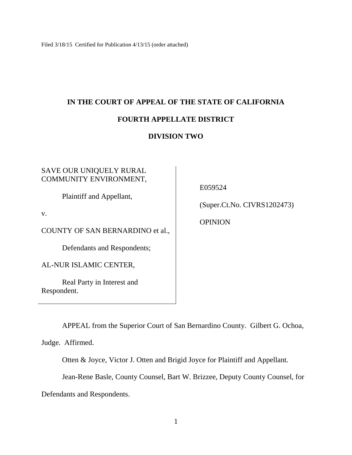Filed 3/18/15 Certified for Publication 4/13/15 (order attached)

# **IN THE COURT OF APPEAL OF THE STATE OF CALIFORNIA**

# **FOURTH APPELLATE DISTRICT**

# **DIVISION TWO**

## SAVE OUR UNIQUELY RURAL COMMUNITY ENVIRONMENT,

Plaintiff and Appellant,

v.

COUNTY OF SAN BERNARDINO et al.,

Defendants and Respondents;

AL-NUR ISLAMIC CENTER,

Real Party in Interest and Respondent.

E059524

(Super.Ct.No. CIVRS1202473)

**OPINION** 

APPEAL from the Superior Court of San Bernardino County. Gilbert G. Ochoa,

Judge. Affirmed.

Otten & Joyce, Victor J. Otten and Brigid Joyce for Plaintiff and Appellant.

Jean-Rene Basle, County Counsel, Bart W. Brizzee, Deputy County Counsel, for

Defendants and Respondents.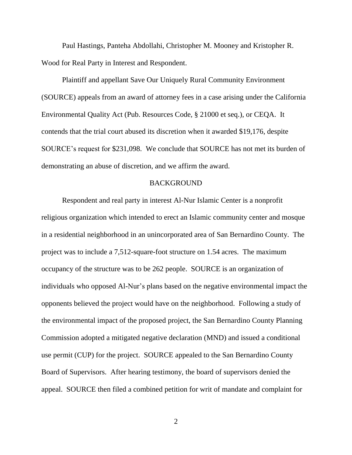Paul Hastings, Panteha Abdollahi, Christopher M. Mooney and Kristopher R. Wood for Real Party in Interest and Respondent.

Plaintiff and appellant Save Our Uniquely Rural Community Environment (SOURCE) appeals from an award of attorney fees in a case arising under the California Environmental Quality Act (Pub. Resources Code, § 21000 et seq.), or CEQA. It contends that the trial court abused its discretion when it awarded \$19,176, despite SOURCE's request for \$231,098. We conclude that SOURCE has not met its burden of demonstrating an abuse of discretion, and we affirm the award.

#### BACKGROUND

Respondent and real party in interest Al-Nur Islamic Center is a nonprofit religious organization which intended to erect an Islamic community center and mosque in a residential neighborhood in an unincorporated area of San Bernardino County. The project was to include a 7,512-square-foot structure on 1.54 acres. The maximum occupancy of the structure was to be 262 people. SOURCE is an organization of individuals who opposed Al-Nur's plans based on the negative environmental impact the opponents believed the project would have on the neighborhood. Following a study of the environmental impact of the proposed project, the San Bernardino County Planning Commission adopted a mitigated negative declaration (MND) and issued a conditional use permit (CUP) for the project. SOURCE appealed to the San Bernardino County Board of Supervisors. After hearing testimony, the board of supervisors denied the appeal. SOURCE then filed a combined petition for writ of mandate and complaint for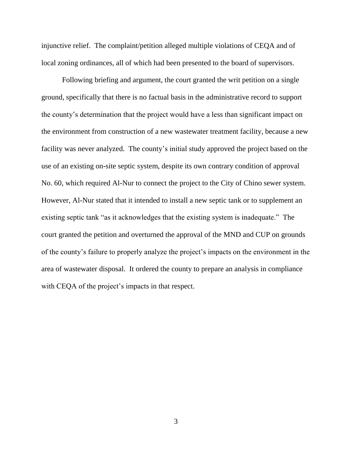injunctive relief. The complaint/petition alleged multiple violations of CEQA and of local zoning ordinances, all of which had been presented to the board of supervisors.

Following briefing and argument, the court granted the writ petition on a single ground, specifically that there is no factual basis in the administrative record to support the county's determination that the project would have a less than significant impact on the environment from construction of a new wastewater treatment facility, because a new facility was never analyzed. The county's initial study approved the project based on the use of an existing on-site septic system, despite its own contrary condition of approval No. 60, which required Al-Nur to connect the project to the City of Chino sewer system. However, Al-Nur stated that it intended to install a new septic tank or to supplement an existing septic tank "as it acknowledges that the existing system is inadequate." The court granted the petition and overturned the approval of the MND and CUP on grounds of the county's failure to properly analyze the project's impacts on the environment in the area of wastewater disposal. It ordered the county to prepare an analysis in compliance with CEQA of the project's impacts in that respect.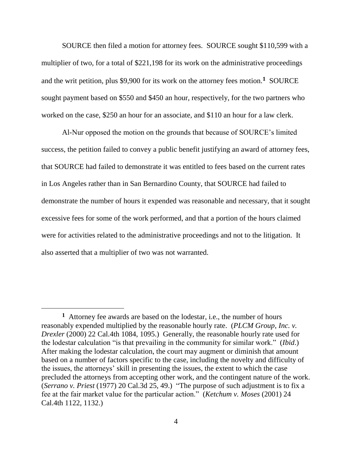SOURCE then filed a motion for attorney fees. SOURCE sought \$110,599 with a multiplier of two, for a total of \$221,198 for its work on the administrative proceedings and the writ petition, plus \$9,900 for its work on the attorney fees motion.<sup>1</sup> SOURCE sought payment based on \$550 and \$450 an hour, respectively, for the two partners who worked on the case, \$250 an hour for an associate, and \$110 an hour for a law clerk.

Al-Nur opposed the motion on the grounds that because of SOURCE's limited success, the petition failed to convey a public benefit justifying an award of attorney fees, that SOURCE had failed to demonstrate it was entitled to fees based on the current rates in Los Angeles rather than in San Bernardino County, that SOURCE had failed to demonstrate the number of hours it expended was reasonable and necessary, that it sought excessive fees for some of the work performed, and that a portion of the hours claimed were for activities related to the administrative proceedings and not to the litigation. It also asserted that a multiplier of two was not warranted.

 $\overline{a}$ 

**<sup>1</sup>** Attorney fee awards are based on the lodestar, i.e., the number of hours reasonably expended multiplied by the reasonable hourly rate. (*PLCM Group*, *Inc. v. Drexler* (2000) 22 Cal.4th 1084, 1095.) Generally, the reasonable hourly rate used for the lodestar calculation "is that prevailing in the community for similar work." (*Ibid*.) After making the lodestar calculation, the court may augment or diminish that amount based on a number of factors specific to the case, including the novelty and difficulty of the issues, the attorneys' skill in presenting the issues, the extent to which the case precluded the attorneys from accepting other work, and the contingent nature of the work. (*Serrano v. Priest* (1977) 20 Cal.3d 25, 49.) "The purpose of such adjustment is to fix a fee at the fair market value for the particular action." (*Ketchum v. Moses* (2001) 24 Cal.4th 1122, 1132.)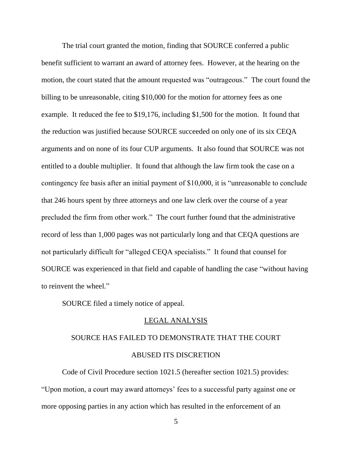The trial court granted the motion, finding that SOURCE conferred a public benefit sufficient to warrant an award of attorney fees. However, at the hearing on the motion, the court stated that the amount requested was "outrageous." The court found the billing to be unreasonable, citing \$10,000 for the motion for attorney fees as one example. It reduced the fee to \$19,176, including \$1,500 for the motion. It found that the reduction was justified because SOURCE succeeded on only one of its six CEQA arguments and on none of its four CUP arguments. It also found that SOURCE was not entitled to a double multiplier. It found that although the law firm took the case on a contingency fee basis after an initial payment of \$10,000, it is "unreasonable to conclude that 246 hours spent by three attorneys and one law clerk over the course of a year precluded the firm from other work." The court further found that the administrative record of less than 1,000 pages was not particularly long and that CEQA questions are not particularly difficult for "alleged CEQA specialists." It found that counsel for SOURCE was experienced in that field and capable of handling the case "without having to reinvent the wheel."

SOURCE filed a timely notice of appeal.

#### LEGAL ANALYSIS

# SOURCE HAS FAILED TO DEMONSTRATE THAT THE COURT ABUSED ITS DISCRETION

Code of Civil Procedure section 1021.5 (hereafter section 1021.5) provides: "Upon motion, a court may award attorneys' fees to a successful party against one or more opposing parties in any action which has resulted in the enforcement of an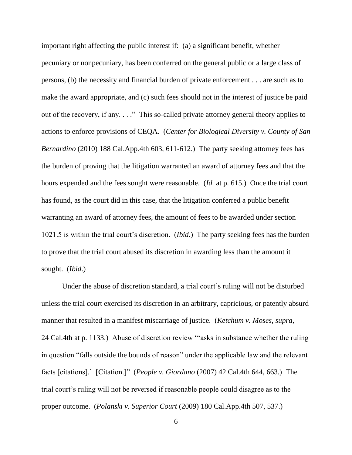important right affecting the public interest if: (a) a significant benefit, whether pecuniary or nonpecuniary, has been conferred on the general public or a large class of persons, (b) the necessity and financial burden of private enforcement . . . are such as to make the award appropriate, and (c) such fees should not in the interest of justice be paid out of the recovery, if any. . . ." This so-called private attorney general theory applies to actions to enforce provisions of CEQA. (*Center for Biological Diversity v. County of San Bernardino* (2010) 188 Cal.App.4th 603, 611-612.) The party seeking attorney fees has the burden of proving that the litigation warranted an award of attorney fees and that the hours expended and the fees sought were reasonable. (*Id.* at p. 615.) Once the trial court has found, as the court did in this case, that the litigation conferred a public benefit warranting an award of attorney fees, the amount of fees to be awarded under section 1021.5 is within the trial court's discretion. (*Ibid*.) The party seeking fees has the burden to prove that the trial court abused its discretion in awarding less than the amount it sought. (*Ibid*.)

Under the abuse of discretion standard, a trial court's ruling will not be disturbed unless the trial court exercised its discretion in an arbitrary, capricious, or patently absurd manner that resulted in a manifest miscarriage of justice. (*Ketchum v. Moses*, *supra*, 24 Cal.4th at p. 1133.) Abuse of discretion review "'asks in substance whether the ruling in question "falls outside the bounds of reason" under the applicable law and the relevant facts [citations].' [Citation.]" (*People v. Giordano* (2007) 42 Cal.4th 644, 663.) The trial court's ruling will not be reversed if reasonable people could disagree as to the proper outcome. (*Polanski v. Superior Court* (2009) 180 Cal.App.4th 507, 537.)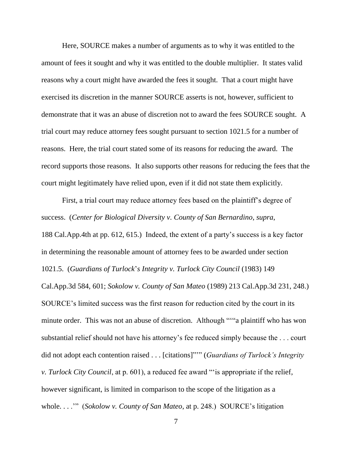Here, SOURCE makes a number of arguments as to why it was entitled to the amount of fees it sought and why it was entitled to the double multiplier. It states valid reasons why a court might have awarded the fees it sought. That a court might have exercised its discretion in the manner SOURCE asserts is not, however, sufficient to demonstrate that it was an abuse of discretion not to award the fees SOURCE sought. A trial court may reduce attorney fees sought pursuant to section 1021.5 for a number of reasons. Here, the trial court stated some of its reasons for reducing the award. The record supports those reasons. It also supports other reasons for reducing the fees that the court might legitimately have relied upon, even if it did not state them explicitly.

First, a trial court may reduce attorney fees based on the plaintiff's degree of success. (*Center for Biological Diversity v. County of San Bernardino*, *supra*, 188 Cal.App.4th at pp. 612, 615.) Indeed, the extent of a party's success is a key factor in determining the reasonable amount of attorney fees to be awarded under section 1021.5. (*Guardians of Turlock*'*s Integrity v. Turlock City Council* (1983) 149 Cal.App.3d 584, 601; *Sokolow v. County of San Mateo* (1989) 213 Cal.App.3d 231, 248.) SOURCE's limited success was the first reason for reduction cited by the court in its minute order. This was not an abuse of discretion. Although ""a plaintiff who has won substantial relief should not have his attorney's fee reduced simply because the . . . court did not adopt each contention raised . . . [citations]"'" (*Guardians of Turlock's Integrity v. Turlock City Council*, at p. 601), a reduced fee award "'is appropriate if the relief, however significant, is limited in comparison to the scope of the litigation as a whole. . . .'" (*Sokolow v. County of San Mateo*, at p. 248.) SOURCE's litigation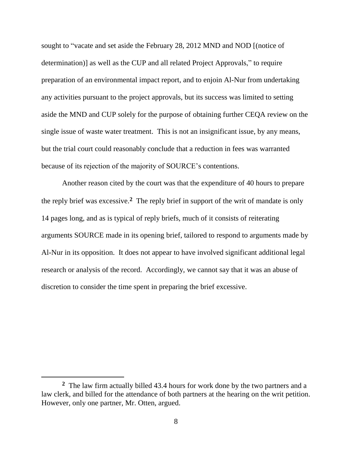sought to "vacate and set aside the February 28, 2012 MND and NOD [(notice of determination)] as well as the CUP and all related Project Approvals," to require preparation of an environmental impact report, and to enjoin Al-Nur from undertaking any activities pursuant to the project approvals, but its success was limited to setting aside the MND and CUP solely for the purpose of obtaining further CEQA review on the single issue of waste water treatment. This is not an insignificant issue, by any means, but the trial court could reasonably conclude that a reduction in fees was warranted because of its rejection of the majority of SOURCE's contentions.

Another reason cited by the court was that the expenditure of 40 hours to prepare the reply brief was excessive.**<sup>2</sup>** The reply brief in support of the writ of mandate is only 14 pages long, and as is typical of reply briefs, much of it consists of reiterating arguments SOURCE made in its opening brief, tailored to respond to arguments made by Al-Nur in its opposition. It does not appear to have involved significant additional legal research or analysis of the record. Accordingly, we cannot say that it was an abuse of discretion to consider the time spent in preparing the brief excessive.

**<sup>2</sup>** The law firm actually billed 43.4 hours for work done by the two partners and a law clerk, and billed for the attendance of both partners at the hearing on the writ petition. However, only one partner, Mr. Otten, argued.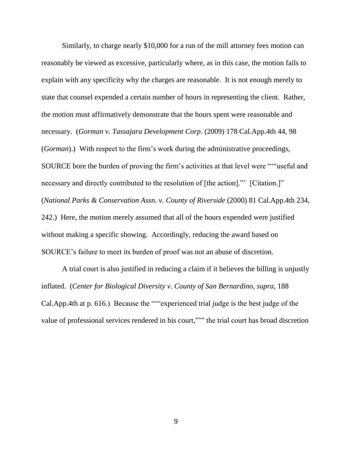Similarly, to charge nearly \$10,000 for a run of the mill attorney fees motion can reasonably be viewed as excessive, particularly where, as in this case, the motion fails to explain with any specificity why the charges are reasonable. It is not enough merely to state that counsel expended a certain number of hours in representing the client. Rather, the motion must affirmatively demonstrate that the hours spent were reasonable and necessary. (*Gorman v. Tassajara Development Corp*. (2009) 178 Cal.App.4th 44, 98 (*Gorman*).) With respect to the firm's work during the administrative proceedings, SOURCE bore the burden of proving the firm's activities at that level were "'"useful and necessary and directly contributed to the resolution of [the action]." [Citation.]" (*National Parks & Conservation Assn*. *v. County of Riverside* (2000) 81 Cal.App.4th 234, 242.) Here, the motion merely assumed that all of the hours expended were justified without making a specific showing. Accordingly, reducing the award based on SOURCE's failure to meet its burden of proof was not an abuse of discretion.

A trial court is also justified in reducing a claim if it believes the billing is unjustly inflated. (*Center for Biological Diversity v. County of San Bernardino*, *supra*, 188 Cal.App.4th at p. 616.) Because the "'"experienced trial judge is the best judge of the value of professional services rendered in his court,"'" the trial court has broad discretion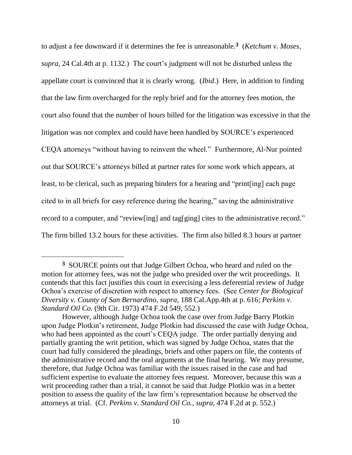to adjust a fee downward if it determines the fee is unreasonable.**<sup>3</sup>** (*Ketchum v. Moses*, *supra*, 24 Cal.4th at p. 1132.) The court's judgment will not be disturbed unless the appellate court is convinced that it is clearly wrong. (*Ibid*.) Here, in addition to finding that the law firm overcharged for the reply brief and for the attorney fees motion, the court also found that the number of hours billed for the litigation was excessive in that the litigation was not complex and could have been handled by SOURCE's experienced CEQA attorneys "without having to reinvent the wheel." Furthermore, Al-Nur pointed out that SOURCE's attorneys billed at partner rates for some work which appears, at least, to be clerical, such as preparing binders for a hearing and "print[ing] each page cited to in all briefs for easy reference during the hearing," saving the administrative record to a computer, and "review[ing] and tag[ging] cites to the administrative record." The firm billed 13.2 hours for these activities. The firm also billed 8.3 hours at partner

 $\overline{a}$ 

**<sup>3</sup>** SOURCE points out that Judge Gilbert Ochoa, who heard and ruled on the motion for attorney fees, was not the judge who presided over the writ proceedings. It contends that this fact justifies this court in exercising a less deferential review of Judge Ochoa's exercise of discretion with respect to attorney fees. (See *Center for Biological Diversity v. County of San Bernardino*, *supra*, 188 Cal.App.4th at p. 616; *Perkins v. Standard Oil Co.* (9th Cir. 1973) 474 F.2d 549, 552.)

However, although Judge Ochoa took the case over from Judge Barry Plotkin upon Judge Plotkin's retirement, Judge Plotkin had discussed the case with Judge Ochoa, who had been appointed as the court's CEQA judge. The order partially denying and partially granting the writ petition, which was signed by Judge Ochoa, states that the court had fully considered the pleadings, briefs and other papers on file, the contents of the administrative record and the oral arguments at the final hearing. We may presume, therefore, that Judge Ochoa was familiar with the issues raised in the case and had sufficient expertise to evaluate the attorney fees request. Moreover, because this was a writ proceeding rather than a trial, it cannot be said that Judge Plotkin was in a better position to assess the quality of the law firm's representation because he observed the attorneys at trial. (Cf. *Perkins v. Standard Oil Co.*, *supra*, 474 F.2d at p. 552.)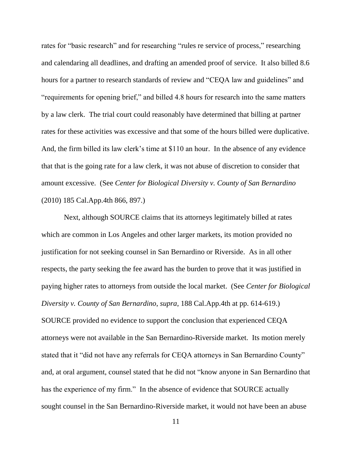rates for "basic research" and for researching "rules re service of process," researching and calendaring all deadlines, and drafting an amended proof of service. It also billed 8.6 hours for a partner to research standards of review and "CEQA law and guidelines" and "requirements for opening brief," and billed 4.8 hours for research into the same matters by a law clerk. The trial court could reasonably have determined that billing at partner rates for these activities was excessive and that some of the hours billed were duplicative. And, the firm billed its law clerk's time at \$110 an hour. In the absence of any evidence that that is the going rate for a law clerk, it was not abuse of discretion to consider that amount excessive. (See *Center for Biological Diversity v. County of San Bernardino*  (2010) 185 Cal.App.4th 866, 897.)

Next, although SOURCE claims that its attorneys legitimately billed at rates which are common in Los Angeles and other larger markets, its motion provided no justification for not seeking counsel in San Bernardino or Riverside. As in all other respects, the party seeking the fee award has the burden to prove that it was justified in paying higher rates to attorneys from outside the local market. (See *Center for Biological Diversity v. County of San Bernardino*, *supra*, 188 Cal.App.4th at pp. 614-619.) SOURCE provided no evidence to support the conclusion that experienced CEQA attorneys were not available in the San Bernardino-Riverside market. Its motion merely stated that it "did not have any referrals for CEQA attorneys in San Bernardino County" and, at oral argument, counsel stated that he did not "know anyone in San Bernardino that has the experience of my firm." In the absence of evidence that SOURCE actually sought counsel in the San Bernardino-Riverside market, it would not have been an abuse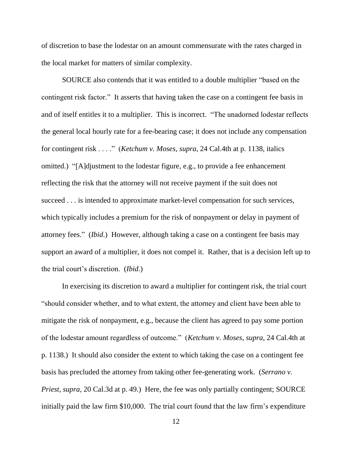of discretion to base the lodestar on an amount commensurate with the rates charged in the local market for matters of similar complexity.

SOURCE also contends that it was entitled to a double multiplier "based on the contingent risk factor." It asserts that having taken the case on a contingent fee basis in and of itself entitles it to a multiplier. This is incorrect. "The unadorned lodestar reflects the general local hourly rate for a fee-bearing case; it does not include any compensation for contingent risk . . . ." (*Ketchum v. Moses*, *supra*, 24 Cal.4th at p. 1138, italics omitted.) "[A]djustment to the lodestar figure, e.g., to provide a fee enhancement reflecting the risk that the attorney will not receive payment if the suit does not succeed . . . is intended to approximate market-level compensation for such services, which typically includes a premium for the risk of nonpayment or delay in payment of attorney fees." (*Ibid*.) However, although taking a case on a contingent fee basis may support an award of a multiplier, it does not compel it. Rather, that is a decision left up to the trial court's discretion. (*Ibid*.)

In exercising its discretion to award a multiplier for contingent risk, the trial court "should consider whether, and to what extent, the attorney and client have been able to mitigate the risk of nonpayment, e.g., because the client has agreed to pay some portion of the lodestar amount regardless of outcome." (*Ketchum v. Moses*, *supra*, 24 Cal.4th at p. 1138.) It should also consider the extent to which taking the case on a contingent fee basis has precluded the attorney from taking other fee-generating work. (*Serrano v. Priest*, *supra*, 20 Cal.3d at p. 49.) Here, the fee was only partially contingent; SOURCE initially paid the law firm \$10,000. The trial court found that the law firm's expenditure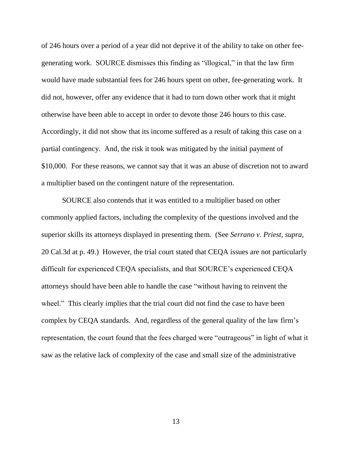of 246 hours over a period of a year did not deprive it of the ability to take on other feegenerating work. SOURCE dismisses this finding as "illogical," in that the law firm would have made substantial fees for 246 hours spent on other, fee-generating work. It did not, however, offer any evidence that it had to turn down other work that it might otherwise have been able to accept in order to devote those 246 hours to this case. Accordingly, it did not show that its income suffered as a result of taking this case on a partial contingency. And, the risk it took was mitigated by the initial payment of \$10,000. For these reasons, we cannot say that it was an abuse of discretion not to award a multiplier based on the contingent nature of the representation.

SOURCE also contends that it was entitled to a multiplier based on other commonly applied factors, including the complexity of the questions involved and the superior skills its attorneys displayed in presenting them. (See *Serrano v. Priest*, *supra*, 20 Cal.3d at p. 49.) However, the trial court stated that CEQA issues are not particularly difficult for experienced CEQA specialists, and that SOURCE's experienced CEQA attorneys should have been able to handle the case "without having to reinvent the wheel." This clearly implies that the trial court did not find the case to have been complex by CEQA standards. And, regardless of the general quality of the law firm's representation, the court found that the fees charged were "outrageous" in light of what it saw as the relative lack of complexity of the case and small size of the administrative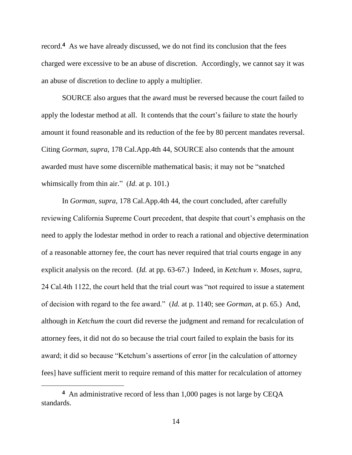record.**<sup>4</sup>** As we have already discussed, we do not find its conclusion that the fees charged were excessive to be an abuse of discretion. Accordingly, we cannot say it was an abuse of discretion to decline to apply a multiplier.

SOURCE also argues that the award must be reversed because the court failed to apply the lodestar method at all. It contends that the court's failure to state the hourly amount it found reasonable and its reduction of the fee by 80 percent mandates reversal. Citing *Gorman*, *supra*, 178 Cal.App.4th 44, SOURCE also contends that the amount awarded must have some discernible mathematical basis; it may not be "snatched whimsically from thin air." (*Id*. at p. 101.)

In *Gorman*, *supra*, 178 Cal.App.4th 44, the court concluded, after carefully reviewing California Supreme Court precedent, that despite that court's emphasis on the need to apply the lodestar method in order to reach a rational and objective determination of a reasonable attorney fee, the court has never required that trial courts engage in any explicit analysis on the record. (*Id.* at pp. 63-67.) Indeed, in *Ketchum v. Moses*, *supra*, 24 Cal.4th 1122, the court held that the trial court was "not required to issue a statement of decision with regard to the fee award." (*Id.* at p. 1140; see *Gorman*, at p. 65.) And, although in *Ketchum* the court did reverse the judgment and remand for recalculation of attorney fees, it did not do so because the trial court failed to explain the basis for its award; it did so because "Ketchum's assertions of error [in the calculation of attorney fees] have sufficient merit to require remand of this matter for recalculation of attorney

 $\overline{a}$ 

**<sup>4</sup>** An administrative record of less than 1,000 pages is not large by CEQA standards.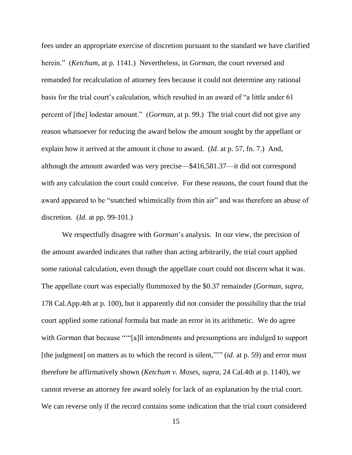fees under an appropriate exercise of discretion pursuant to the standard we have clarified herein." (*Ketchum*, at p. 1141.) Nevertheless, in *Gorman*, the court reversed and remanded for recalculation of attorney fees because it could not determine any rational basis for the trial court's calculation, which resulted in an award of "a little under 61 percent of [the] lodestar amount." (*Gorman*, at p. 99.) The trial court did not give any reason whatsoever for reducing the award below the amount sought by the appellant or explain how it arrived at the amount it chose to award. (*Id*. at p. 57, fn. 7.) And, although the amount awarded was very precise—\$416,581.37—it did not correspond with any calculation the court could conceive. For these reasons, the court found that the award appeared to be "snatched whimsically from thin air" and was therefore an abuse of discretion. (*Id.* at pp. 99-101.)

We respectfully disagree with *Gorman*'s analysis. In our view, the precision of the amount awarded indicates that rather than acting arbitrarily, the trial court applied some rational calculation, even though the appellate court could not discern what it was. The appellate court was especially flummoxed by the \$0.37 remainder (*Gorman*, *supra*, 178 Cal.App.4th at p. 100), but it apparently did not consider the possibility that the trial court applied some rational formula but made an error in its arithmetic. We do agree with *Gorman* that because ""[a]ll intendments and presumptions are indulged to support [the judgment] on matters as to which the record is silent,"'" (*id*. at p. 59) and error must therefore be affirmatively shown (*Ketchum v. Moses*, *supra*, 24 Cal.4th at p. 1140), we cannot reverse an attorney fee award solely for lack of an explanation by the trial court. We can reverse only if the record contains some indication that the trial court considered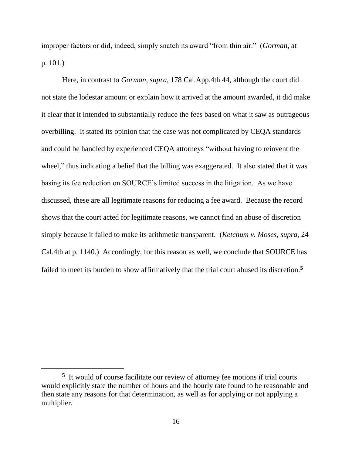improper factors or did, indeed, simply snatch its award "from thin air." (*Gorman*, at p. 101.)

Here, in contrast to *Gorman*, *supra*, 178 Cal.App.4th 44, although the court did not state the lodestar amount or explain how it arrived at the amount awarded, it did make it clear that it intended to substantially reduce the fees based on what it saw as outrageous overbilling. It stated its opinion that the case was not complicated by CEQA standards and could be handled by experienced CEQA attorneys "without having to reinvent the wheel," thus indicating a belief that the billing was exaggerated. It also stated that it was basing its fee reduction on SOURCE's limited success in the litigation. As we have discussed, these are all legitimate reasons for reducing a fee award. Because the record shows that the court acted for legitimate reasons, we cannot find an abuse of discretion simply because it failed to make its arithmetic transparent. (*Ketchum v. Moses*, *supra*, 24 Cal.4th at p. 1140.) Accordingly, for this reason as well, we conclude that SOURCE has failed to meet its burden to show affirmatively that the trial court abused its discretion.**<sup>5</sup>**

**<sup>5</sup>** It would of course facilitate our review of attorney fee motions if trial courts would explicitly state the number of hours and the hourly rate found to be reasonable and then state any reasons for that determination, as well as for applying or not applying a multiplier.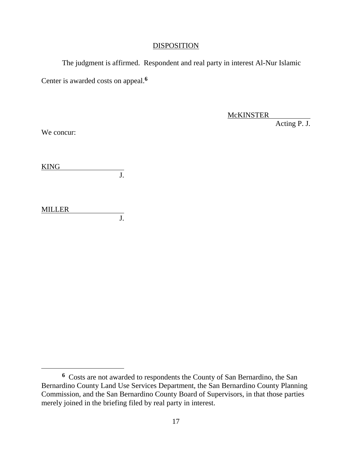#### DISPOSITION

The judgment is affirmed. Respondent and real party in interest Al-Nur Islamic Center is awarded costs on appeal. **6**

**McKINSTER** 

Acting P. J.

We concur:

| <b>KING</b> |  |
|-------------|--|
|             |  |

MILLER  $\overline{J}$ .

**<sup>6</sup>** Costs are not awarded to respondents the County of San Bernardino, the San Bernardino County Land Use Services Department, the San Bernardino County Planning Commission, and the San Bernardino County Board of Supervisors, in that those parties merely joined in the briefing filed by real party in interest.